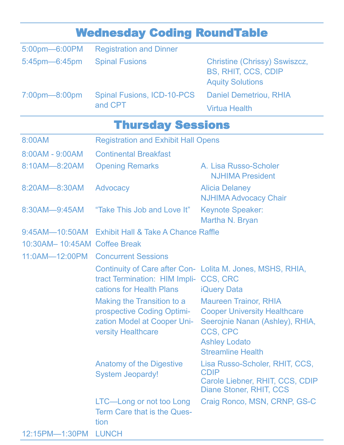|                              | <b>Wednesday Coding RoundTable</b>                                                                                          |                                                                                                                                                                        |  |  |
|------------------------------|-----------------------------------------------------------------------------------------------------------------------------|------------------------------------------------------------------------------------------------------------------------------------------------------------------------|--|--|
| 5:00pm-6:00PM                | <b>Registration and Dinner</b>                                                                                              |                                                                                                                                                                        |  |  |
| 5:45pm-6:45pm                | <b>Spinal Fusions</b>                                                                                                       | <b>Christine (Chrissy) Sswiszcz,</b><br><b>BS, RHIT, CCS, CDIP</b><br><b>Aquity Solutions</b>                                                                          |  |  |
| 7:00pm-8:00pm                | <b>Spinal Fusions, ICD-10-PCS</b><br>and CPT                                                                                | <b>Daniel Demetriou, RHIA</b>                                                                                                                                          |  |  |
|                              |                                                                                                                             | <b>Virtua Health</b>                                                                                                                                                   |  |  |
| <b>Thursday Sessions</b>     |                                                                                                                             |                                                                                                                                                                        |  |  |
| 8:00AM                       | <b>Registration and Exhibit Hall Opens</b>                                                                                  |                                                                                                                                                                        |  |  |
| 8:00AM - 9:00AM              | <b>Continental Breakfast</b>                                                                                                |                                                                                                                                                                        |  |  |
| 8:10AM-8:20AM                | <b>Opening Remarks</b>                                                                                                      | A. Lisa Russo-Scholer<br><b>NJHIMA President</b>                                                                                                                       |  |  |
| 8:20AM-8:30AM                | Advocacy                                                                                                                    | <b>Alicia Delaney</b><br><b>NJHIMA Advocacy Chair</b>                                                                                                                  |  |  |
| 8:30AM-9:45AM                | "Take This Job and Love It"                                                                                                 | <b>Keynote Speaker:</b><br>Martha N. Bryan                                                                                                                             |  |  |
| $9:45AM - 10:50AM$           | <b>Exhibit Hall &amp; Take A Chance Raffle</b>                                                                              |                                                                                                                                                                        |  |  |
| 10:30AM-10:45AM Coffee Break |                                                                                                                             |                                                                                                                                                                        |  |  |
|                              | 11:0AM-12:00PM Concurrent Sessions                                                                                          |                                                                                                                                                                        |  |  |
|                              | tract Termination: HIM Impli- CCS, CRC<br>cations for Health Plans                                                          | Continuity of Care after Con- Lolita M. Jones, MSHS, RHIA,<br><b>iQuery Data</b>                                                                                       |  |  |
|                              | Making the Transition to a<br>prospective Coding Optimi-<br><b>zation Model at Cooper Uni-</b><br><b>versity Healthcare</b> | <b>Maureen Trainor, RHIA</b><br><b>Cooper University Healthcare</b><br>Seerojnie Nanan (Ashley), RHIA,<br>CCS, CPC<br><b>Ashley Lodato</b><br><b>Streamline Health</b> |  |  |
|                              | <b>Anatomy of the Digestive</b><br><b>System Jeopardy!</b>                                                                  | Lisa Russo-Scholer, RHIT, CCS,<br><b>CDIP</b><br>Carole Liebner, RHIT, CCS, CDIP<br>Diane Stoner, RHIT, CCS                                                            |  |  |
|                              | LTC-Long or not too Long<br><b>Term Care that is the Ques-</b><br>tion                                                      | Craig Ronco, MSN, CRNP, GS-C                                                                                                                                           |  |  |
| 12:15PM-1:30PM LUNCH         |                                                                                                                             |                                                                                                                                                                        |  |  |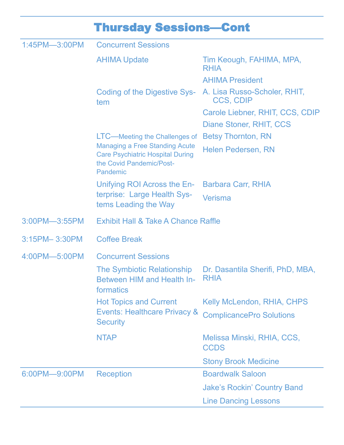## Thursday Sessions—Cont

| 1:45PM-3:00PM | <b>Concurrent Sessions</b>                                                                                                                                |                                                 |  |
|---------------|-----------------------------------------------------------------------------------------------------------------------------------------------------------|-------------------------------------------------|--|
|               | <b>AHIMA Update</b>                                                                                                                                       | Tim Keough, FAHIMA, MPA,<br><b>RHIA</b>         |  |
|               |                                                                                                                                                           | <b>AHIMA President</b>                          |  |
|               | <b>Coding of the Digestive Sys-</b><br>tem                                                                                                                | A. Lisa Russo-Scholer, RHIT,<br>CCS, CDIP       |  |
|               |                                                                                                                                                           | Carole Liebner, RHIT, CCS, CDIP                 |  |
|               |                                                                                                                                                           | Diane Stoner, RHIT, CCS                         |  |
|               | LTC—Meeting the Challenges of<br><b>Managing a Free Standing Acute</b><br><b>Care Psychiatric Hospital During</b><br>the Covid Pandemic/Post-<br>Pandemic | <b>Betsy Thornton, RN</b>                       |  |
|               |                                                                                                                                                           | <b>Helen Pedersen, RN</b>                       |  |
|               | Unifying ROI Across the En-                                                                                                                               | <b>Barbara Carr, RHIA</b>                       |  |
|               | terprise: Large Health Sys-<br>tems Leading the Way                                                                                                       | Verisma                                         |  |
| 3:00PM-3:55PM | <b>Exhibit Hall &amp; Take A Chance Raffle</b>                                                                                                            |                                                 |  |
| 3:15PM-3:30PM | <b>Coffee Break</b>                                                                                                                                       |                                                 |  |
| 4:00PM-5:00PM | <b>Concurrent Sessions</b>                                                                                                                                |                                                 |  |
|               | The Symbiotic Relationship<br><b>Between HIM and Health In-</b><br>formatics                                                                              | Dr. Dasantila Sherifi, PhD, MBA,<br><b>RHIA</b> |  |
|               | <b>Hot Topics and Current</b><br><b>Events: Healthcare Privacy &amp;</b><br><b>Security</b>                                                               | <b>Kelly McLendon, RHIA, CHPS</b>               |  |
|               |                                                                                                                                                           | <b>ComplicancePro Solutions</b>                 |  |
|               | <b>NTAP</b>                                                                                                                                               | Melissa Minski, RHIA, CCS,<br><b>CCDS</b>       |  |
|               |                                                                                                                                                           | <b>Stony Brook Medicine</b>                     |  |
| 6:00PM-9:00PM | <b>Reception</b>                                                                                                                                          | <b>Boardwalk Saloon</b>                         |  |
|               |                                                                                                                                                           | <b>Jake's Rockin' Country Band</b>              |  |
|               |                                                                                                                                                           | <b>Line Dancing Lessons</b>                     |  |